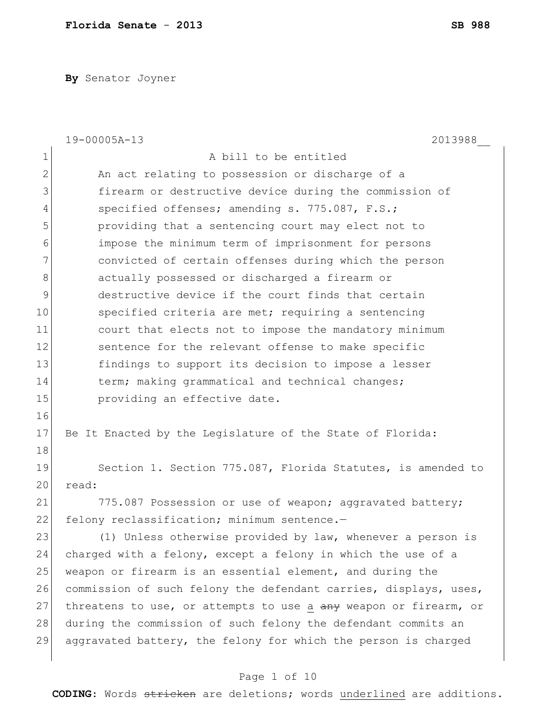**By** Senator Joyner

|             | 19-00005A-13<br>2013988                                          |
|-------------|------------------------------------------------------------------|
| $\mathbf 1$ | A bill to be entitled                                            |
| 2           | An act relating to possession or discharge of a                  |
| 3           | firearm or destructive device during the commission of           |
| 4           | specified offenses; amending s. 775.087, F.S.;                   |
| 5           | providing that a sentencing court may elect not to               |
| 6           | impose the minimum term of imprisonment for persons              |
| 7           | convicted of certain offenses during which the person            |
| 8           | actually possessed or discharged a firearm or                    |
| 9           | destructive device if the court finds that certain               |
| 10          | specified criteria are met; requiring a sentencing               |
| 11          | court that elects not to impose the mandatory minimum            |
| 12          | sentence for the relevant offense to make specific               |
| 13          | findings to support its decision to impose a lesser              |
| 14          | term; making grammatical and technical changes;                  |
| 15          | providing an effective date.                                     |
| 16          |                                                                  |
| 17          | Be It Enacted by the Legislature of the State of Florida:        |
| 18          |                                                                  |
| 19          | Section 1. Section 775.087, Florida Statutes, is amended to      |
| 20          | read:                                                            |
| 21          | 775.087 Possession or use of weapon; aggravated battery;         |
| 22          | felony reclassification; minimum sentence.-                      |
| 23          | (1) Unless otherwise provided by law, whenever a person is       |
| 24          | charged with a felony, except a felony in which the use of a     |
| 25          | weapon or firearm is an essential element, and during the        |
| 26          | commission of such felony the defendant carries, displays, uses, |
| 27          | threatens to use, or attempts to use a any weapon or firearm, or |
| 28          | during the commission of such felony the defendant commits an    |
| 29          | aggravated battery, the felony for which the person is charged   |
|             |                                                                  |

# Page 1 of 10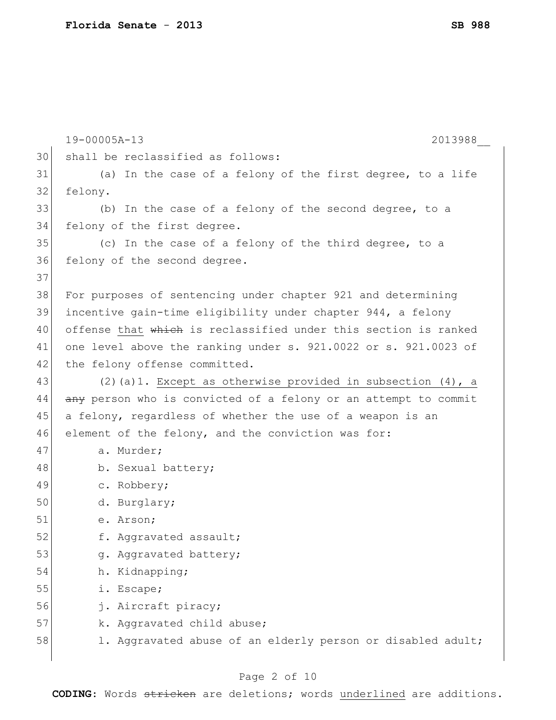|    | 19-00005A-13<br>2013988                                         |
|----|-----------------------------------------------------------------|
| 30 | shall be reclassified as follows:                               |
| 31 | (a) In the case of a felony of the first degree, to a life      |
| 32 | felony.                                                         |
| 33 | (b) In the case of a felony of the second degree, to a          |
| 34 | felony of the first degree.                                     |
| 35 | (c) In the case of a felony of the third degree, to a           |
| 36 | felony of the second degree.                                    |
| 37 |                                                                 |
| 38 | For purposes of sentencing under chapter 921 and determining    |
| 39 | incentive gain-time eligibility under chapter 944, a felony     |
| 40 | offense that which is reclassified under this section is ranked |
| 41 | one level above the ranking under s. 921.0022 or s. 921.0023 of |
| 42 | the felony offense committed.                                   |
| 43 | (2) (a) 1. Except as otherwise provided in subsection (4), a    |
| 44 | any person who is convicted of a felony or an attempt to commit |
| 45 | a felony, regardless of whether the use of a weapon is an       |
| 46 | element of the felony, and the conviction was for:              |
| 47 | a. Murder;                                                      |
| 48 | b. Sexual battery;                                              |
| 49 | c. Robbery;                                                     |
| 50 | d. Burglary;                                                    |
| 51 | e. Arson;                                                       |
| 52 | f. Aggravated assault;                                          |
| 53 | g. Aggravated battery;                                          |
| 54 | h. Kidnapping;                                                  |
| 55 | i. Escape;                                                      |
| 56 | j. Aircraft piracy;                                             |
| 57 | k. Aggravated child abuse;                                      |
| 58 | 1. Aggravated abuse of an elderly person or disabled adult;     |
|    |                                                                 |

# Page 2 of 10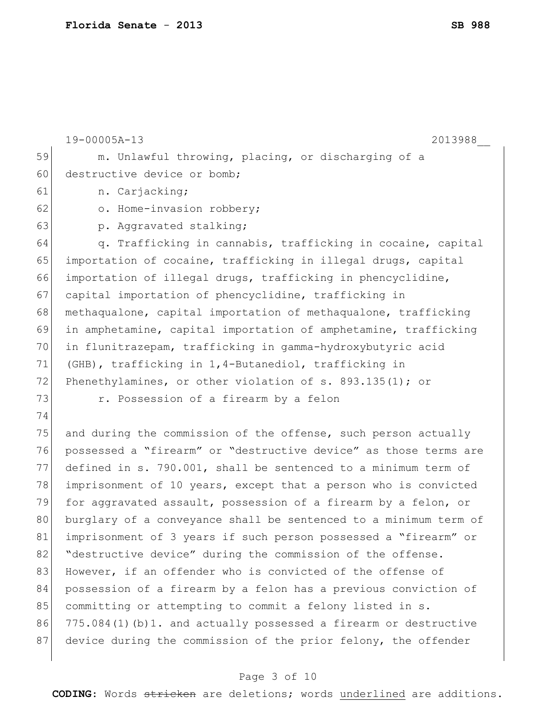19-00005A-13 2013988\_\_ 59 m. Unlawful throwing, placing, or discharging of a 60 destructive device or bomb; 61 n. Carjacking; 62 o. Home-invasion robbery; 63 p. Aggravated stalking; 64  $\vert$  q. Trafficking in cannabis, trafficking in cocaine, capital 65 importation of cocaine, trafficking in illegal drugs, capital 66 importation of illegal drugs, trafficking in phencyclidine, 67 capital importation of phencyclidine, trafficking in 68 methaqualone, capital importation of methaqualone, trafficking 69 in amphetamine, capital importation of amphetamine, trafficking 70 in flunitrazepam, trafficking in gamma-hydroxybutyric acid 71 (GHB), trafficking in 1,4-Butanediol, trafficking in 72 Phenethylamines, or other violation of s. 893.135(1); or 73 **1988** r. Possession of a firearm by a felon 74 75 and during the commission of the offense, such person actually 76 possessed a "firearm" or "destructive device" as those terms are 77 defined in s. 790.001, shall be sentenced to a minimum term of 78 imprisonment of 10 years, except that a person who is convicted 79 for aggravated assault, possession of a firearm by a felon, or 80 burglary of a conveyance shall be sentenced to a minimum term of 81 imprisonment of 3 years if such person possessed a "firearm" or 82 "destructive device" during the commission of the offense. 83 However, if an offender who is convicted of the offense of 84 possession of a firearm by a felon has a previous conviction of 85 committing or attempting to commit a felony listed in s. 86 775.084(1)(b)1. and actually possessed a firearm or destructive 87 device during the commission of the prior felony, the offender

### Page 3 of 10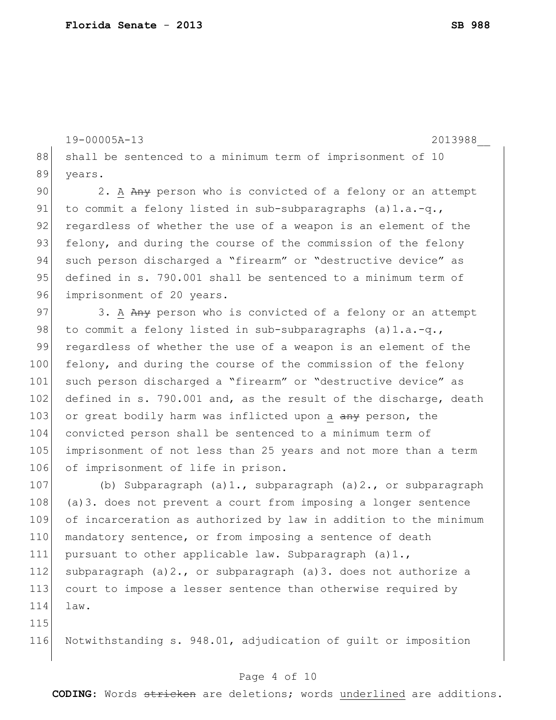19-00005A-13 2013988\_\_

88 shall be sentenced to a minimum term of imprisonment of 10 89 years.

90 2. A Any person who is convicted of a felony or an attempt 91 to commit a felony listed in sub-subparagraphs  $(a) 1.a.-q.$ 92 regardless of whether the use of a weapon is an element of the 93 felony, and during the course of the commission of the felony 94 such person discharged a "firearm" or "destructive device" as 95 defined in s. 790.001 shall be sentenced to a minimum term of 96 imprisonment of 20 years.

97 3. A Any person who is convicted of a felony or an attempt 98 to commit a felony listed in sub-subparagraphs  $(a) 1.a.-q.$ , 99 regardless of whether the use of a weapon is an element of the 100 felony, and during the course of the commission of the felony 101 such person discharged a "firearm" or "destructive device" as 102 defined in s. 790.001 and, as the result of the discharge, death 103 or great bodily harm was inflicted upon a any person, the 104 convicted person shall be sentenced to a minimum term of 105 imprisonment of not less than 25 years and not more than a term 106 of imprisonment of life in prison.

107 (b) Subparagraph (a)1., subparagraph (a)2., or subparagraph 108 (a)3. does not prevent a court from imposing a longer sentence 109 of incarceration as authorized by law in addition to the minimum 110 mandatory sentence, or from imposing a sentence of death 111 pursuant to other applicable law. Subparagraph (a)1., 112 subparagraph (a)  $2.$ , or subparagraph (a)  $3.$  does not authorize a 113 court to impose a lesser sentence than otherwise required by 114 law.

115

116 Notwithstanding s. 948.01, adjudication of guilt or imposition

#### Page 4 of 10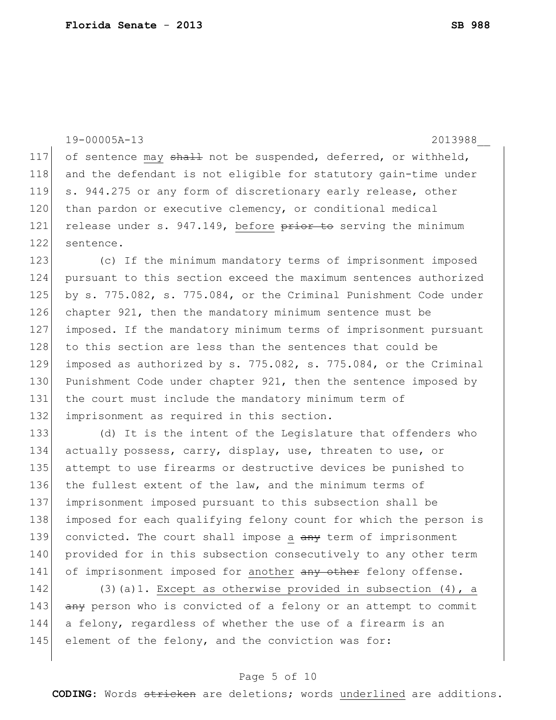19-00005A-13 2013988\_\_ 117 of sentence may shall not be suspended, deferred, or withheld, 118 and the defendant is not eligible for statutory gain-time under 119 s. 944.275 or any form of discretionary early release, other 120 than pardon or executive clemency, or conditional medical 121 release under s. 947.149, before prior to serving the minimum 122 sentence. 123 (c) If the minimum mandatory terms of imprisonment imposed 124 pursuant to this section exceed the maximum sentences authorized 125 by s. 775.082, s. 775.084, or the Criminal Punishment Code under 126 chapter 921, then the mandatory minimum sentence must be 127 imposed. If the mandatory minimum terms of imprisonment pursuant

128 to this section are less than the sentences that could be 129 imposed as authorized by s. 775.082, s. 775.084, or the Criminal 130 Punishment Code under chapter 921, then the sentence imposed by 131 the court must include the mandatory minimum term of 132 imprisonment as required in this section.

133 (d) It is the intent of the Legislature that offenders who 134 actually possess, carry, display, use, threaten to use, or 135 attempt to use firearms or destructive devices be punished to 136 the fullest extent of the law, and the minimum terms of 137 imprisonment imposed pursuant to this subsection shall be 138 imposed for each qualifying felony count for which the person is 139 convicted. The court shall impose a any term of imprisonment 140 provided for in this subsection consecutively to any other term 141 of imprisonment imposed for another any other felony offense.

142 (3)(a)1. Except as otherwise provided in subsection (4), a 143 any person who is convicted of a felony or an attempt to commit 144 a felony, regardless of whether the use of a firearm is an 145 element of the felony, and the conviction was for:

### Page 5 of 10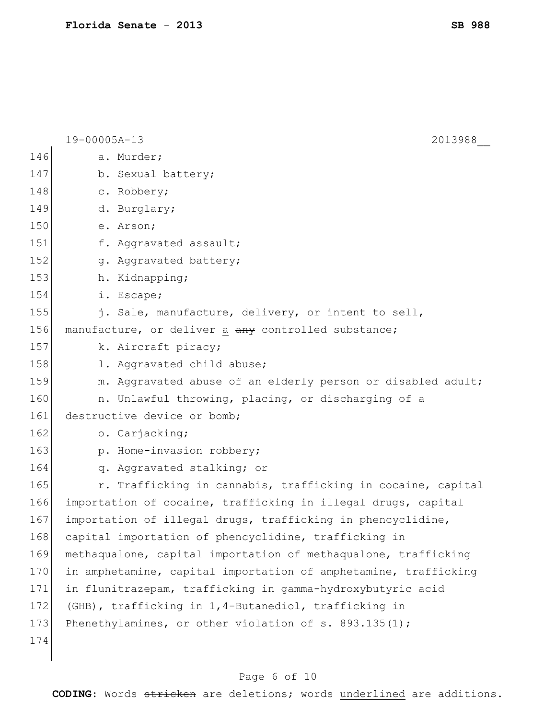19-00005A-13 2013988\_\_ 146 a. Murder; 147 b. Sexual battery; 148 c. Robbery; 149 d. Burglary; 150 e. Arson; 151 f. Aggravated assault; 152 g. Aggravated battery; 153 h. Kidnapping; 154 i. Escape; 155 i. Sale, manufacture, delivery, or intent to sell, 156 manufacture, or deliver a any controlled substance; 157 k. Aircraft piracy; 158 1. Aggravated child abuse; 159 m. Aggravated abuse of an elderly person or disabled adult; 160 **n.** Unlawful throwing, placing, or discharging of a 161 destructive device or bomb; 162 o. Carjacking; 163 p. Home-invasion robbery; 164 | q. Aggravated stalking; or 165  $\vert$  r. Trafficking in cannabis, trafficking in cocaine, capital 166 importation of cocaine, trafficking in illegal drugs, capital 167 importation of illegal drugs, trafficking in phencyclidine, 168 capital importation of phencyclidine, trafficking in 169 methaqualone, capital importation of methaqualone, trafficking 170 in amphetamine, capital importation of amphetamine, trafficking 171 in flunitrazepam, trafficking in gamma-hydroxybutyric acid 172 (GHB), trafficking in 1,4-Butanediol, trafficking in 173 Phenethylamines, or other violation of s. 893.135(1); 174

### Page 6 of 10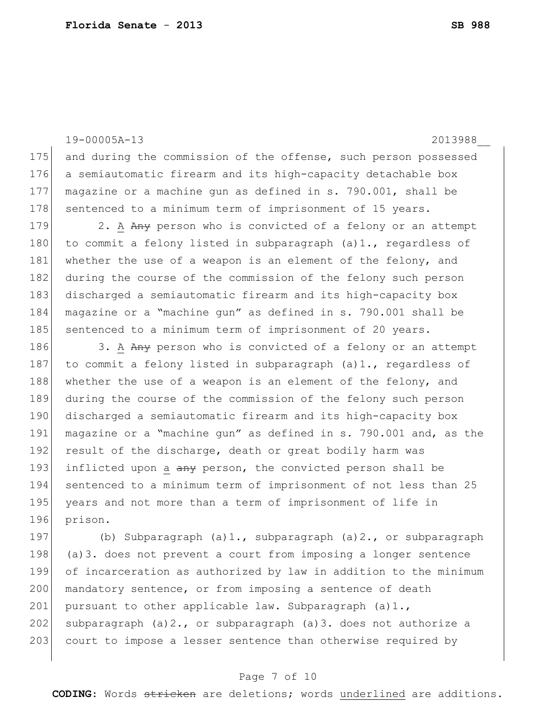19-00005A-13 2013988\_\_ 175 and during the commission of the offense, such person possessed 176 a semiautomatic firearm and its high-capacity detachable box 177 magazine or a machine gun as defined in s. 790.001, shall be 178 sentenced to a minimum term of imprisonment of 15 years. 179 2. A Any person who is convicted of a felony or an attempt 180 to commit a felony listed in subparagraph  $(a) 1$ ., regardless of 181 whether the use of a weapon is an element of the felony, and 182 during the course of the commission of the felony such person 183 discharged a semiautomatic firearm and its high-capacity box 184 magazine or a "machine gun" as defined in s. 790.001 shall be 185 sentenced to a minimum term of imprisonment of 20 years. 186 3. A Any person who is convicted of a felony or an attempt 187 to commit a felony listed in subparagraph (a)1., regardless of 188 whether the use of a weapon is an element of the felony, and 189 during the course of the commission of the felony such person 190 discharged a semiautomatic firearm and its high-capacity box 191 magazine or a "machine gun" as defined in s. 790.001 and, as the 192 result of the discharge, death or great bodily harm was 193 inflicted upon a any person, the convicted person shall be 194 sentenced to a minimum term of imprisonment of not less than 25 195 years and not more than a term of imprisonment of life in 196 prison.

197 (b) Subparagraph (a)1., subparagraph (a)2., or subparagraph 198 (a)3. does not prevent a court from imposing a longer sentence 199 of incarceration as authorized by law in addition to the minimum 200 mandatory sentence, or from imposing a sentence of death 201 pursuant to other applicable law. Subparagraph  $(a)1.$ , 202 subparagraph  $(a)$  2., or subparagraph  $(a)$  3. does not authorize a 203 court to impose a lesser sentence than otherwise required by

#### Page 7 of 10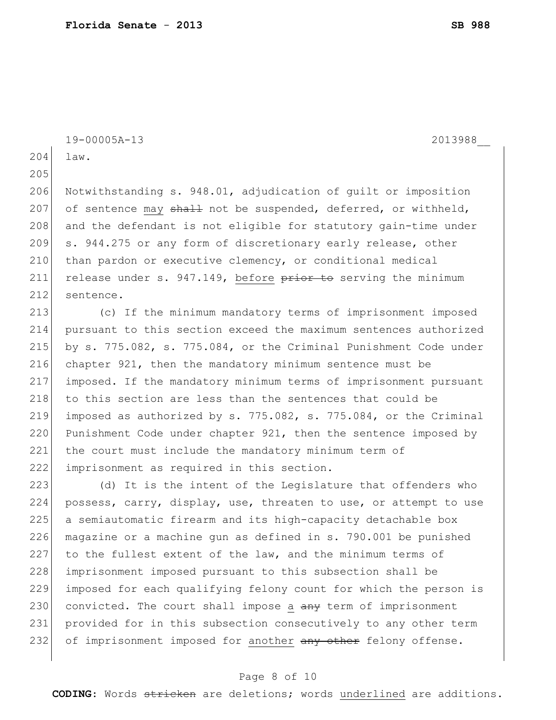19-00005A-13 2013988\_\_

204 law.

205

206 Notwithstanding s. 948.01, adjudication of guilt or imposition 207 of sentence may  $\frac{1}{2}$  not be suspended, deferred, or withheld, 208 and the defendant is not eligible for statutory gain-time under 209 s. 944.275 or any form of discretionary early release, other 210 than pardon or executive clemency, or conditional medical 211 release under s.  $947.149$ , before  $\frac{1}{2}$  besome to serving the minimum 212 sentence.

 (c) If the minimum mandatory terms of imprisonment imposed pursuant to this section exceed the maximum sentences authorized by s. 775.082, s. 775.084, or the Criminal Punishment Code under chapter 921, then the mandatory minimum sentence must be imposed. If the mandatory minimum terms of imprisonment pursuant 218 to this section are less than the sentences that could be 219 imposed as authorized by s.  $775.082$ , s.  $775.084$ , or the Criminal 220 Punishment Code under chapter 921, then the sentence imposed by the court must include the mandatory minimum term of imprisonment as required in this section.

223  $(d)$  It is the intent of the Legislature that offenders who 224 possess, carry, display, use, threaten to use, or attempt to use 225 a semiautomatic firearm and its high-capacity detachable box 226 magazine or a machine qun as defined in  $s. 790.001$  be punished 227 to the fullest extent of the law, and the minimum terms of 228 imprisonment imposed pursuant to this subsection shall be 229 imposed for each qualifying felony count for which the person is 230 convicted. The court shall impose a any term of imprisonment 231 provided for in this subsection consecutively to any other term 232 of imprisonment imposed for another any other felony offense.

### Page 8 of 10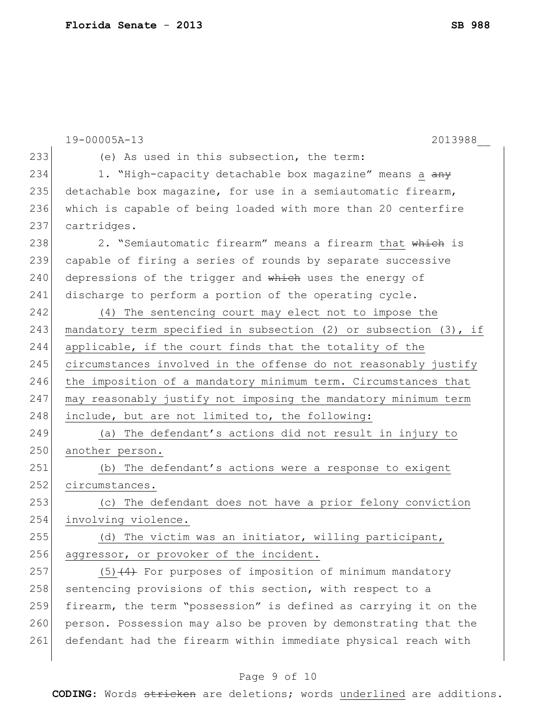|     | 19-00005A-13<br>2013988                                               |
|-----|-----------------------------------------------------------------------|
| 233 | (e) As used in this subsection, the term:                             |
| 234 | 1. "High-capacity detachable box magazine" means a any                |
| 235 | detachable box magazine, for use in a semiautomatic firearm,          |
| 236 | which is capable of being loaded with more than 20 centerfire         |
| 237 | cartridges.                                                           |
| 238 | 2. "Semiautomatic firearm" means a firearm that which is              |
| 239 | capable of firing a series of rounds by separate successive           |
| 240 | depressions of the trigger and which uses the energy of               |
| 241 | discharge to perform a portion of the operating cycle.                |
| 242 | (4) The sentencing court may elect not to impose the                  |
| 243 | mandatory term specified in subsection $(2)$ or subsection $(3)$ , if |
| 244 | applicable, if the court finds that the totality of the               |
| 245 | circumstances involved in the offense do not reasonably justify       |
| 246 | the imposition of a mandatory minimum term. Circumstances that        |
| 247 | may reasonably justify not imposing the mandatory minimum term        |
| 248 | include, but are not limited to, the following:                       |
| 249 | (a) The defendant's actions did not result in injury to               |
| 250 | another person.                                                       |
| 251 | (b) The defendant's actions were a response to exigent                |
| 252 | circumstances.                                                        |
| 253 | (c) The defendant does not have a prior felony conviction             |
| 254 | involving violence.                                                   |
| 255 | (d) The victim was an initiator, willing participant,                 |
| 256 | aggressor, or provoker of the incident.                               |
| 257 | $(5)$ $(4)$ For purposes of imposition of minimum mandatory           |
| 258 | sentencing provisions of this section, with respect to a              |
| 259 | firearm, the term "possession" is defined as carrying it on the       |
| 260 | person. Possession may also be proven by demonstrating that the       |
| 261 | defendant had the firearm within immediate physical reach with        |
|     |                                                                       |

# Page 9 of 10